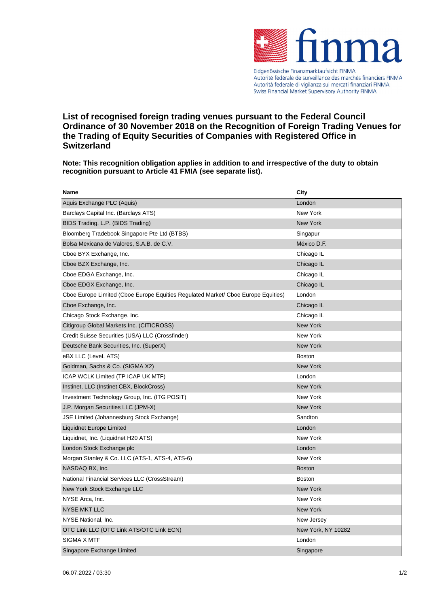

Autorité fédérale de surveillance des marchés financiers FINMA Autorità federale di vigilanza sui mercati finanziari FINMA Swiss Financial Market Supervisory Authority FINMA

## **List of recognised foreign trading venues pursuant to the Federal Council Ordinance of 30 November 2018 on the Recognition of Foreign Trading Venues for the Trading of Equity Securities of Companies with Registered Office in Switzerland**

**Note: This recognition obligation applies in addition to and irrespective of the duty to obtain recognition pursuant to Article 41 FMIA (see separate list).**

| <b>Name</b>                                                                       | City               |
|-----------------------------------------------------------------------------------|--------------------|
| Aquis Exchange PLC (Aquis)                                                        | London             |
| Barclays Capital Inc. (Barclays ATS)                                              | New York           |
| BIDS Trading, L.P. (BIDS Trading)                                                 | <b>New York</b>    |
| Bloomberg Tradebook Singapore Pte Ltd (BTBS)                                      | Singapur           |
| Bolsa Mexicana de Valores, S.A.B. de C.V.                                         | México D.F.        |
| Cboe BYX Exchange, Inc.                                                           | Chicago IL         |
| Cboe BZX Exchange, Inc.                                                           | Chicago IL         |
| Cboe EDGA Exchange, Inc.                                                          | Chicago IL         |
| Cboe EDGX Exchange, Inc.                                                          | Chicago IL         |
| Cboe Europe Limited (Cboe Europe Equities Regulated Market/ Cboe Europe Equities) | London             |
| Cboe Exchange, Inc.                                                               | Chicago IL         |
| Chicago Stock Exchange, Inc.                                                      | Chicago IL         |
| Citigroup Global Markets Inc. (CITICROSS)                                         | New York           |
| Credit Suisse Securities (USA) LLC (Crossfinder)                                  | New York           |
| Deutsche Bank Securities, Inc. (SuperX)                                           | <b>New York</b>    |
| eBX LLC (LeveL ATS)                                                               | <b>Boston</b>      |
| Goldman, Sachs & Co. (SIGMA X2)                                                   | New York           |
| ICAP WCLK Limited (TP ICAP UK MTF)                                                | London             |
| Instinet, LLC (Instinet CBX, BlockCross)                                          | New York           |
| Investment Technology Group, Inc. (ITG POSIT)                                     | New York           |
| J.P. Morgan Securities LLC (JPM-X)                                                | <b>New York</b>    |
| JSE Limited (Johannesburg Stock Exchange)                                         | Sandton            |
| Liquidnet Europe Limited                                                          | London             |
| Liquidnet, Inc. (Liquidnet H20 ATS)                                               | New York           |
| London Stock Exchange plc                                                         | London             |
| Morgan Stanley & Co. LLC (ATS-1, ATS-4, ATS-6)                                    | New York           |
| NASDAQ BX, Inc.                                                                   | <b>Boston</b>      |
| National Financial Services LLC (CrossStream)                                     | <b>Boston</b>      |
| New York Stock Exchange LLC                                                       | New York           |
| NYSE Arca, Inc.                                                                   | New York           |
| <b>NYSE MKT LLC</b>                                                               | New York           |
| NYSE National, Inc.                                                               | New Jersey         |
| OTC Link LLC (OTC Link ATS/OTC Link ECN)                                          | New York, NY 10282 |
| SIGMA X MTF                                                                       | London             |
| Singapore Exchange Limited                                                        | Singapore          |